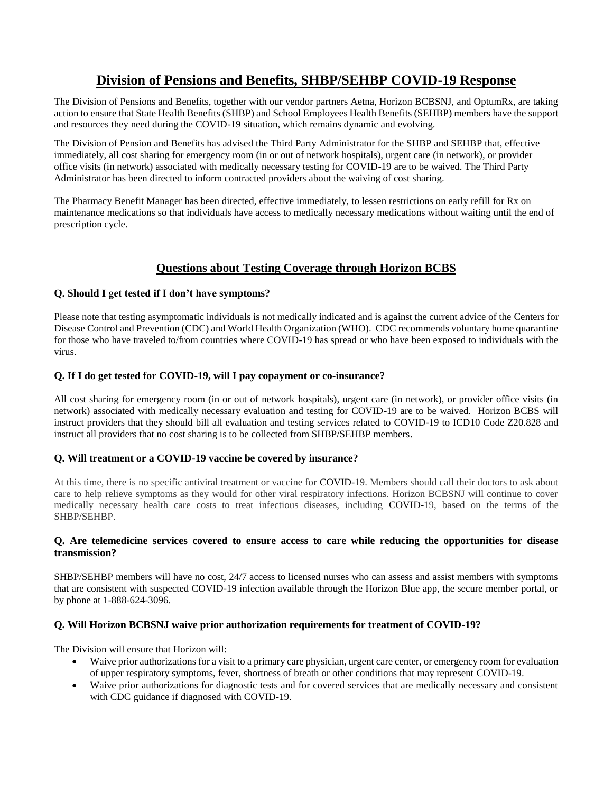# **Division of Pensions and Benefits, SHBP/SEHBP COVID-19 Response**

The Division of Pensions and Benefits, together with our vendor partners Aetna, Horizon BCBSNJ, and OptumRx, are taking action to ensure that State Health Benefits (SHBP) and School Employees Health Benefits (SEHBP) members have the support and resources they need during the COVID-19 situation, which remains dynamic and evolving.

The Division of Pension and Benefits has advised the Third Party Administrator for the SHBP and SEHBP that, effective immediately, all cost sharing for emergency room (in or out of network hospitals), urgent care (in network), or provider office visits (in network) associated with medically necessary testing for COVID-19 are to be waived. The Third Party Administrator has been directed to inform contracted providers about the waiving of cost sharing.

The Pharmacy Benefit Manager has been directed, effective immediately, to lessen restrictions on early refill for Rx on maintenance medications so that individuals have access to medically necessary medications without waiting until the end of prescription cycle.

# **Questions about Testing Coverage through Horizon BCBS**

### **Q. Should I get tested if I don't have symptoms?**

Please note that testing asymptomatic individuals is not medically indicated and is against the current advice of the Centers for Disease Control and Prevention (CDC) and World Health Organization (WHO). CDC recommends voluntary home quarantine for those who have traveled to/from countries where COVID-19 has spread or who have been exposed to individuals with the virus.

#### **Q. If I do get tested for COVID-19, will I pay copayment or co-insurance?**

All cost sharing for emergency room (in or out of network hospitals), urgent care (in network), or provider office visits (in network) associated with medically necessary evaluation and testing for COVID-19 are to be waived. Horizon BCBS will instruct providers that they should bill all evaluation and testing services related to COVID-19 to ICD10 Code Z20.828 and instruct all providers that no cost sharing is to be collected from SHBP/SEHBP members.

#### **Q. Will treatment or a COVID-19 vaccine be covered by insurance?**

At this time, there is no specific antiviral treatment or vaccine for COVID-19. Members should call their doctors to ask about care to help relieve symptoms as they would for other viral respiratory infections. Horizon BCBSNJ will continue to cover medically necessary health care costs to treat infectious diseases, including COVID-19, based on the terms of the SHBP/SEHBP.

#### **Q. Are telemedicine services covered to ensure access to care while reducing the opportunities for disease transmission?**

SHBP/SEHBP members will have no cost, 24/7 access to licensed nurses who can assess and assist members with symptoms that are consistent with suspected COVID-19 infection available through the Horizon Blue app, the secure member portal, or by phone at 1-888-624-3096.

## **Q. Will Horizon BCBSNJ waive prior authorization requirements for treatment of COVID-19?**

The Division will ensure that Horizon will:

- Waive prior authorizations for a visit to a primary care physician, urgent care center, or emergency room for evaluation of upper respiratory symptoms, fever, shortness of breath or other conditions that may represent COVID-19.
- Waive prior authorizations for diagnostic tests and for covered services that are medically necessary and consistent with CDC guidance if diagnosed with COVID-19.